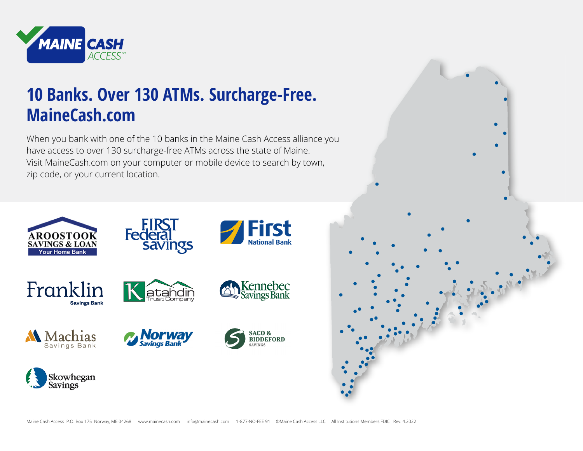

# **10 Banks. Over 130 ATMs. Surcharge-Free. MaineCash.com**

When you bank with one of the 10 banks in the Maine Cash Access alliance you have access to over 130 surcharge-free ATMs across the state of Maine. Visit MaineCash.com on your computer or mobile device to search by town, zip code, or your current location.